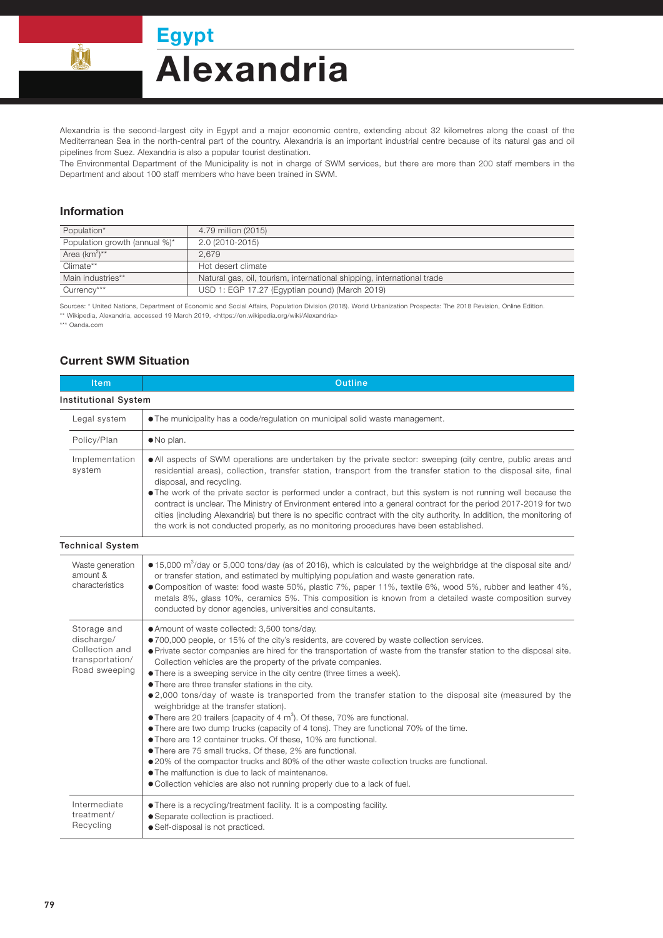**Egypt** 

## **Alexandria**

Alexandria is the second-largest city in Egypt and a major economic centre, extending about 32 kilometres along the coast of the Mediterranean Sea in the north-central part of the country. Alexandria is an important industrial centre because of its natural gas and oil pipelines from Suez. Alexandria is also a popular tourist destination.

The Environmental Department of the Municipality is not in charge of SWM services, but there are more than 200 staff members in the Department and about 100 staff members who have been trained in SWM.

## Information

 $\mathbb{M}$ 

| Population*                   | 4.79 million (2015)                                                    |  |
|-------------------------------|------------------------------------------------------------------------|--|
| Population growth (annual %)* | 2.0 (2010-2015)                                                        |  |
| Area $(km^2)^{**}$            | 2.679                                                                  |  |
| Climate**                     | Hot desert climate                                                     |  |
| Main industries**             | Natural gas, oil, tourism, international shipping, international trade |  |
| Currency***                   | USD 1: EGP 17.27 (Egyptian pound) (March 2019)                         |  |

Sources: \* United Nations, Department of Economic and Social Affairs, Population Division (2018). World Urbanization Prospects: The 2018 Revision, Online Edition. \*\* Wikipedia, Alexandria, accessed 19 March 2019, <https://en.wikipedia.org/wiki/Alexandria>

\*\*\* Oanda.com

## Current SWM Situation

| $It$ em                                                                         | <b>Outline</b>                                                                                                                                                                                                                                                                                                                                                                                                                                                                                                                                                                                                                                                                                                                                                                                                                                                                                                                                                                                                                                                                                                                                                                   |  |  |  |
|---------------------------------------------------------------------------------|----------------------------------------------------------------------------------------------------------------------------------------------------------------------------------------------------------------------------------------------------------------------------------------------------------------------------------------------------------------------------------------------------------------------------------------------------------------------------------------------------------------------------------------------------------------------------------------------------------------------------------------------------------------------------------------------------------------------------------------------------------------------------------------------------------------------------------------------------------------------------------------------------------------------------------------------------------------------------------------------------------------------------------------------------------------------------------------------------------------------------------------------------------------------------------|--|--|--|
| <b>Institutional System</b>                                                     |                                                                                                                                                                                                                                                                                                                                                                                                                                                                                                                                                                                                                                                                                                                                                                                                                                                                                                                                                                                                                                                                                                                                                                                  |  |  |  |
| Legal system                                                                    | • The municipality has a code/regulation on municipal solid waste management.                                                                                                                                                                                                                                                                                                                                                                                                                                                                                                                                                                                                                                                                                                                                                                                                                                                                                                                                                                                                                                                                                                    |  |  |  |
| Policy/Plan                                                                     | · No plan.                                                                                                                                                                                                                                                                                                                                                                                                                                                                                                                                                                                                                                                                                                                                                                                                                                                                                                                                                                                                                                                                                                                                                                       |  |  |  |
| Implementation<br>system                                                        | • All aspects of SWM operations are undertaken by the private sector: sweeping (city centre, public areas and<br>residential areas), collection, transfer station, transport from the transfer station to the disposal site, final<br>disposal, and recycling.<br>. The work of the private sector is performed under a contract, but this system is not running well because the<br>contract is unclear. The Ministry of Environment entered into a general contract for the period 2017-2019 for two<br>cities (including Alexandria) but there is no specific contract with the city authority. In addition, the monitoring of<br>the work is not conducted properly, as no monitoring procedures have been established.                                                                                                                                                                                                                                                                                                                                                                                                                                                      |  |  |  |
| <b>Technical System</b>                                                         |                                                                                                                                                                                                                                                                                                                                                                                                                                                                                                                                                                                                                                                                                                                                                                                                                                                                                                                                                                                                                                                                                                                                                                                  |  |  |  |
| Waste generation<br>amount &<br>characteristics                                 | $\bullet$ 15,000 m <sup>3</sup> /day or 5,000 tons/day (as of 2016), which is calculated by the weighbridge at the disposal site and/<br>or transfer station, and estimated by multiplying population and waste generation rate.<br>• Composition of waste: food waste 50%, plastic 7%, paper 11%, textile 6%, wood 5%, rubber and leather 4%,<br>metals 8%, glass 10%, ceramics 5%. This composition is known from a detailed waste composition survey<br>conducted by donor agencies, universities and consultants.                                                                                                                                                                                                                                                                                                                                                                                                                                                                                                                                                                                                                                                            |  |  |  |
| Storage and<br>discharge/<br>Collection and<br>transportation/<br>Road sweeping | • Amount of waste collected: 3,500 tons/day.<br>•700,000 people, or 15% of the city's residents, are covered by waste collection services.<br>• Private sector companies are hired for the transportation of waste from the transfer station to the disposal site.<br>Collection vehicles are the property of the private companies.<br>• There is a sweeping service in the city centre (three times a week).<br>• There are three transfer stations in the city.<br>•2,000 tons/day of waste is transported from the transfer station to the disposal site (measured by the<br>weighbridge at the transfer station).<br>$\bullet$ There are 20 trailers (capacity of 4 m <sup>3</sup> ). Of these, 70% are functional.<br>• There are two dump trucks (capacity of 4 tons). They are functional 70% of the time.<br>• There are 12 container trucks. Of these, 10% are functional.<br>• There are 75 small trucks. Of these, 2% are functional.<br>•20% of the compactor trucks and 80% of the other waste collection trucks are functional.<br>• The malfunction is due to lack of maintenance.<br>• Collection vehicles are also not running properly due to a lack of fuel. |  |  |  |
| Intermediate<br>treatment/<br>Recycling                                         | • There is a recycling/treatment facility. It is a composting facility.<br>• Separate collection is practiced.<br>· Self-disposal is not practiced.                                                                                                                                                                                                                                                                                                                                                                                                                                                                                                                                                                                                                                                                                                                                                                                                                                                                                                                                                                                                                              |  |  |  |